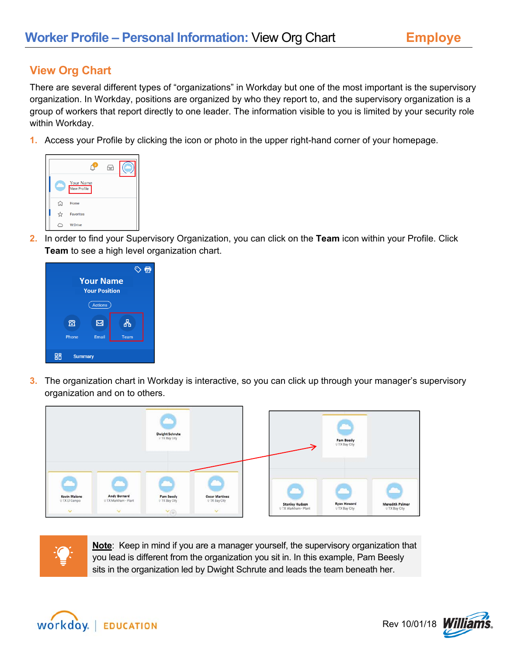## **View Org Chart**

There are several different types of "organizations" in Workday but one of the most important is the supervisory organization. In Workday, positions are organized by who they report to, and the supervisory organization is a group of workers that report directly to one leader. The information visible to you is limited by your security role within Workday.

**1.** Access your Profile by clicking the icon or photo in the upper right-hand corner of your homepage.



**2.** In order to find your Supervisory Organization, you can click on the **Team** icon within your Profile. Click **Team** to see a high level organization chart.



**3.** The organization chart in Workday is interactive, so you can click up through your manager's supervisory organization and on to others.





**Note**: Keep in mind if you are a manager yourself, the supervisory organization that you lead is different from the organization you sit in. In this example, Pam Beesly sits in the organization led by Dwight Schrute and leads the team beneath her.